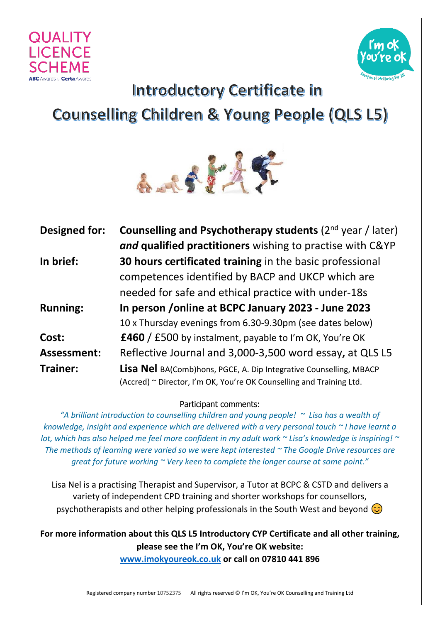



## **Introductory Certificate in Counselling Children & Young People (QLS L5)**



| <b>Designed for:</b> | Counselling and Psychotherapy students (2 <sup>nd</sup> year / later)     |
|----------------------|---------------------------------------------------------------------------|
|                      | and qualified practitioners wishing to practise with C&YP                 |
| In brief:            | 30 hours certificated training in the basic professional                  |
|                      | competences identified by BACP and UKCP which are                         |
|                      | needed for safe and ethical practice with under-18s                       |
| <b>Running:</b>      | In person / online at BCPC January 2023 - June 2023                       |
|                      | 10 x Thursday evenings from 6.30-9.30pm (see dates below)                 |
| Cost:                | <b>£460</b> / £500 by instalment, payable to I'm OK, You're OK            |
| <b>Assessment:</b>   | Reflective Journal and 3,000-3,500 word essay, at QLS L5                  |
| Trainer:             | <b>Lisa Nel</b> BA(Comb)hons, PGCE, A. Dip Integrative Counselling, MBACP |
|                      | (Accred) ~ Director, I'm OK, You're OK Counselling and Training Ltd.      |

Participant comments:

*"A brilliant introduction to counselling children and young people! ~ Lisa has a wealth of knowledge, insight and experience which are delivered with a very personal touch ~ I have learnt a lot, which has also helped me feel more confident in my adult work ~ Lisa's knowledge is inspiring! ~ The methods of learning were varied so we were kept interested ~ The Google Drive resources are great for future working ~ Very keen to complete the longer course at some point."* 

Lisa Nel is a practising Therapist and Supervisor, a Tutor at BCPC & CSTD and delivers a variety of independent CPD training and shorter workshops for counsellors, psychotherapists and other helping professionals in the South West and beyond  $\odot$ 

**For more information about this QLS L5 Introductory CYP Certificate and all other training, please see the I'm OK, You're OK website: [www.imokyoureok.co.uk](http://www.imokyoureok.co.uk/) or call on 07810 441 896**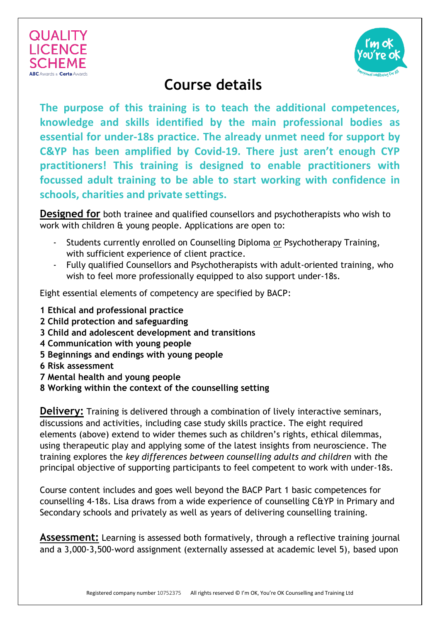



## **Course details**

**The purpose of this training is to teach the additional competences, knowledge and skills identified by the main professional bodies as essential for under-18s practice. The already unmet need for support by C&YP has been amplified by Covid-19. There just aren't enough CYP practitioners! This training is designed to enable practitioners with focussed adult training to be able to start working with confidence in schools, charities and private settings.**

**Designed for** both trainee and qualified counsellors and psychotherapists who wish to work with children & young people. Applications are open to:

- Students currently enrolled on Counselling Diploma or Psychotherapy Training, with sufficient experience of client practice.
- Fully qualified Counsellors and Psychotherapists with adult-oriented training, who wish to feel more professionally equipped to also support under-18s.

Eight essential elements of competency are specified by BACP:

- **1 Ethical and professional practice**
- **2 Child protection and safeguarding**
- **3 Child and adolescent development and transitions**
- **4 Communication with young people**
- **5 Beginnings and endings with young people**
- **6 Risk assessment**
- **7 Mental health and young people**
- **8 Working within the context of the counselling setting**

**Delivery:** Training is delivered through a combination of lively interactive seminars, discussions and activities, including case study skills practice. The eight required elements (above) extend to wider themes such as children's rights, ethical dilemmas, using therapeutic play and applying some of the latest insights from neuroscience. The training explores the *key differences between counselling adults and children* with *t*he principal objective of supporting participants to feel competent to work with under-18s.

Course content includes and goes well beyond the BACP Part 1 basic competences for counselling 4-18s. Lisa draws from a wide experience of counselling C&YP in Primary and Secondary schools and privately as well as years of delivering counselling training.

**Assessment:** Learning is assessed both formatively, through a reflective training journal and a 3,000-3,500-word assignment (externally assessed at academic level 5), based upon